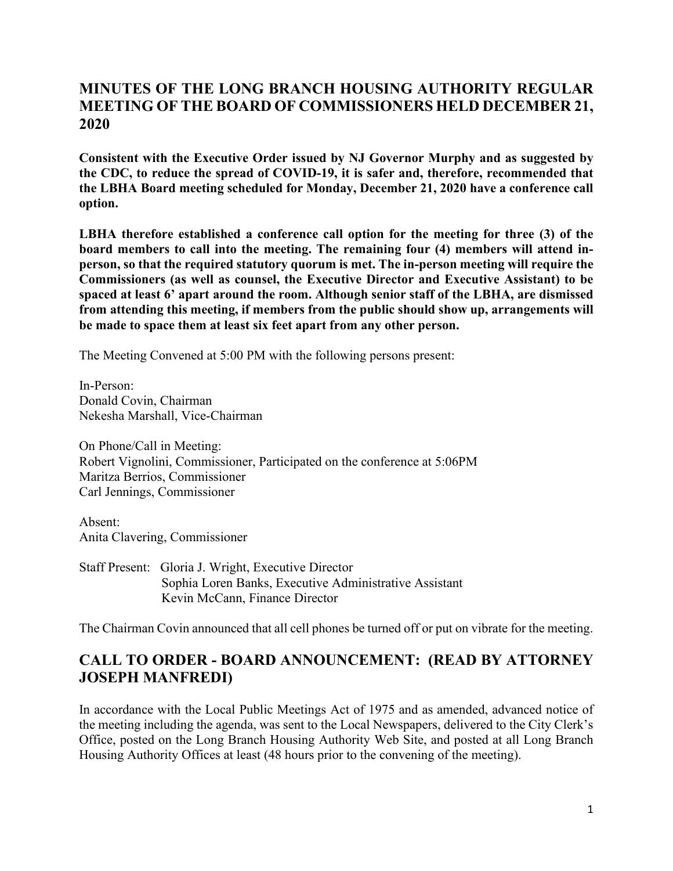## **MINUTES OF THE LONG BRANCH HOUSING AUTHORITY REGULAR MEETING OF THE BOARD OF COMMISSIONERS HELD DECEMBER 21, 2020**

**Consistent with the Executive Order issued by NJ Governor Murphy and as suggested by the CDC, to reduce the spread of COVID-19, it is safer and, therefore, recommended that the LBHA Board meeting scheduled for Monday, December 21, 2020 have a conference call option.**

**LBHA therefore established a conference call option for the meeting for three (3) of the board members to call into the meeting. The remaining four (4) members will attend inperson, so that the required statutory quorum is met. The in-person meeting will require the Commissioners (as well as counsel, the Executive Director and Executive Assistant) to be spaced at least 6' apart around the room. Although senior staff of the LBHA, are dismissed from attending this meeting, if members from the public should show up, arrangements will be made to space them at least six feet apart from any other person.**

The Meeting Convened at 5:00 PM with the following persons present:

In-Person: Donald Covin, Chairman Nekesha Marshall, Vice-Chairman

On Phone/Call in Meeting: Robert Vignolini, Commissioner, Participated on the conference at 5:06PM Maritza Berrios, Commissioner Carl Jennings, Commissioner

Absent: Anita Clavering, Commissioner

Staff Present: Gloria J. Wright, Executive Director Sophia Loren Banks, Executive Administrative Assistant Kevin McCann, Finance Director

The Chairman Covin announced that all cell phones be turned off or put on vibrate for the meeting.

# **CALL TO ORDER - BOARD ANNOUNCEMENT: (READ BY ATTORNEY JOSEPH MANFREDI)**

In accordance with the Local Public Meetings Act of 1975 and as amended, advanced notice of the meeting including the agenda, was sent to the Local Newspapers, delivered to the City Clerk's Office, posted on the Long Branch Housing Authority Web Site, and posted at all Long Branch Housing Authority Offices at least (48 hours prior to the convening of the meeting).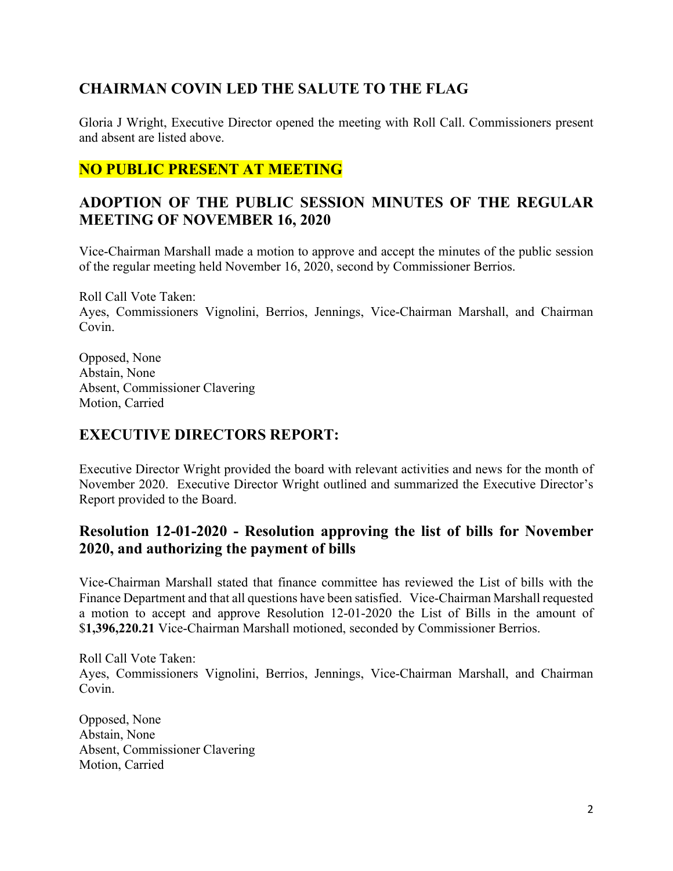# **CHAIRMAN COVIN LED THE SALUTE TO THE FLAG**

Gloria J Wright, Executive Director opened the meeting with Roll Call. Commissioners present and absent are listed above.

# **NO PUBLIC PRESENT AT MEETING**

# **ADOPTION OF THE PUBLIC SESSION MINUTES OF THE REGULAR MEETING OF NOVEMBER 16, 2020**

Vice-Chairman Marshall made a motion to approve and accept the minutes of the public session of the regular meeting held November 16, 2020, second by Commissioner Berrios.

Roll Call Vote Taken: Ayes, Commissioners Vignolini, Berrios, Jennings, Vice-Chairman Marshall, and Chairman Covin.

Opposed, None Abstain, None Absent, Commissioner Clavering Motion, Carried

#### **EXECUTIVE DIRECTORS REPORT:**

Executive Director Wright provided the board with relevant activities and news for the month of November 2020. Executive Director Wright outlined and summarized the Executive Director's Report provided to the Board.

## **Resolution 12-01-2020 - Resolution approving the list of bills for November 2020, and authorizing the payment of bills**

Vice-Chairman Marshall stated that finance committee has reviewed the List of bills with the Finance Department and that all questions have been satisfied. Vice-Chairman Marshall requested a motion to accept and approve Resolution 12-01-2020 the List of Bills in the amount of \$**1,396,220.21** Vice-Chairman Marshall motioned, seconded by Commissioner Berrios.

Roll Call Vote Taken: Ayes, Commissioners Vignolini, Berrios, Jennings, Vice-Chairman Marshall, and Chairman Covin.

Opposed, None Abstain, None Absent, Commissioner Clavering Motion, Carried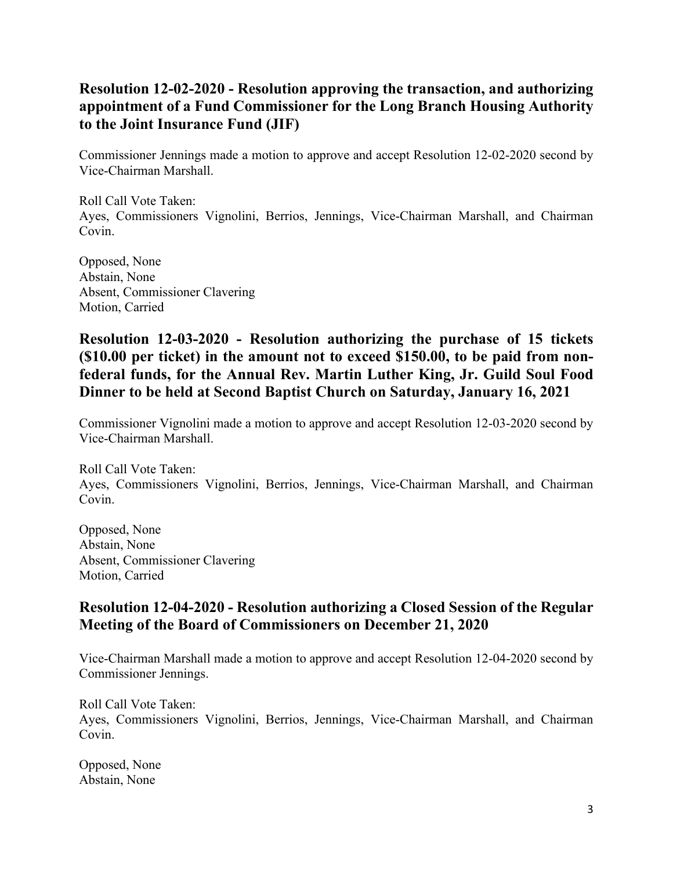# **Resolution 12-02-2020 - Resolution approving the transaction, and authorizing appointment of a Fund Commissioner for the Long Branch Housing Authority to the Joint Insurance Fund (JIF)**

Commissioner Jennings made a motion to approve and accept Resolution 12-02-2020 second by Vice-Chairman Marshall.

Roll Call Vote Taken: Ayes, Commissioners Vignolini, Berrios, Jennings, Vice-Chairman Marshall, and Chairman Covin.

Opposed, None Abstain, None Absent, Commissioner Clavering Motion, Carried

## **Resolution 12-03-2020 - Resolution authorizing the purchase of 15 tickets (\$10.00 per ticket) in the amount not to exceed \$150.00, to be paid from nonfederal funds, for the Annual Rev. Martin Luther King, Jr. Guild Soul Food Dinner to be held at Second Baptist Church on Saturday, January 16, 2021**

Commissioner Vignolini made a motion to approve and accept Resolution 12-03-2020 second by Vice-Chairman Marshall.

Roll Call Vote Taken: Ayes, Commissioners Vignolini, Berrios, Jennings, Vice-Chairman Marshall, and Chairman Covin.

Opposed, None Abstain, None Absent, Commissioner Clavering Motion, Carried

# **Resolution 12-04-2020 - Resolution authorizing a Closed Session of the Regular Meeting of the Board of Commissioners on December 21, 2020**

Vice-Chairman Marshall made a motion to approve and accept Resolution 12-04-2020 second by Commissioner Jennings.

Roll Call Vote Taken: Ayes, Commissioners Vignolini, Berrios, Jennings, Vice-Chairman Marshall, and Chairman Covin.

Opposed, None Abstain, None